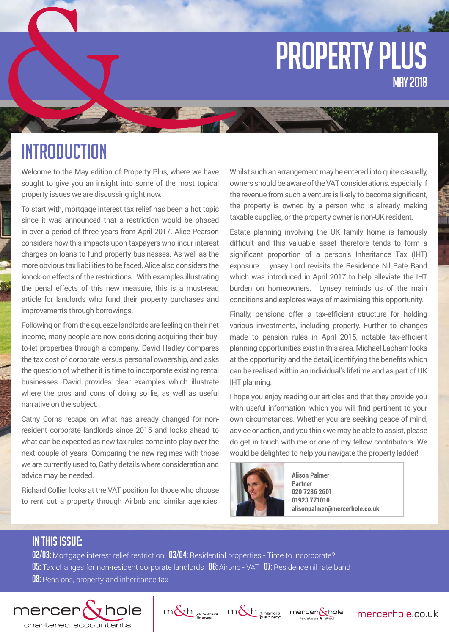# property plus MAY 2018

# **INTRODUCTION**

Welcome to the May edition of Property Plus, where we have sought to give you an insight into some of the most topical property issues we are discussing right now.

To start with, mortgage interest tax relief has been a hot topic since it was announced that a restriction would be phased in over a period of three years from April 2017. Alice Pearson considers how this impacts upon taxpayers who incur interest charges on loans to fund property businesses. As well as the more obvious tax liabilities to be faced, Alice also considers the knock-on effects of the restrictions. With examples illustrating the penal effects of this new measure, this is a must-read article for landlords who fund their property purchases and improvements through borrowings.

Following on from the squeeze landlords are feeling on their net income, many people are now considering acquiring their buyto-let properties through a company. David Hadley compares the tax cost of corporate versus personal ownership, and asks the question of whether it is time to incorporate existing rental businesses. David provides clear examples which illustrate where the pros and cons of doing so lie, as well as useful narrative on the subject.

Cathy Corns recaps on what has already changed for nonresident corporate landlords since 2015 and looks ahead to what can be expected as new tax rules come into play over the next couple of years. Comparing the new regimes with those we are currently used to, Cathy details where consideration and advice may be needed.

Richard Collier looks at the VAT position for those who choose to rent out a property through Airbnb and similar agencies.

Whilst such an arrangement may be entered into quite casually, owners should be aware of the VAT considerations, especially if the revenue from such a venture is likely to become significant, the property is owned by a person who is already making taxable supplies, or the property owner is non-UK resident.

Estate planning involving the UK family home is famously difficult and this valuable asset therefore tends to form a significant proportion of a person's Inheritance Tax (IHT) exposure. Lynsey Lord revisits the Residence Nil Rate Band which was introduced in April 2017 to help alleviate the IHT burden on homeowners. Lynsey reminds us of the main conditions and explores ways of maximising this opportunity.

Finally, pensions offer a tax-efficient structure for holding various investments, including property. Further to changes made to pension rules in April 2015, notable tax-efficient planning opportunities exist in this area. Michael Lapham looks at the opportunity and the detail, identifying the benefits which can be realised within an individual's lifetime and as part of UK IHT planning.

I hope you enjoy reading our articles and that they provide you with useful information, which you will find pertinent to your own circumstances. Whether you are seeking peace of mind, advice or action, and you think we may be able to assist, please do get in touch with me or one of my fellow contributors. We would be delighted to help you navigate the property ladder!



**Alison Palmer Partner 020 7236 2601 01923 771010 alisonpalmer@mercerhole.co.uk**

# IN THIS ISSUE:

02/03: Mortgage interest relief restriction 03/04: Residential properties - Time to incorporate? 05: Tax changes for non-resident corporate landlords 06: Airbnb - VAT 07: Residence nil rate band **08:** Pensions, property and inheritance tax







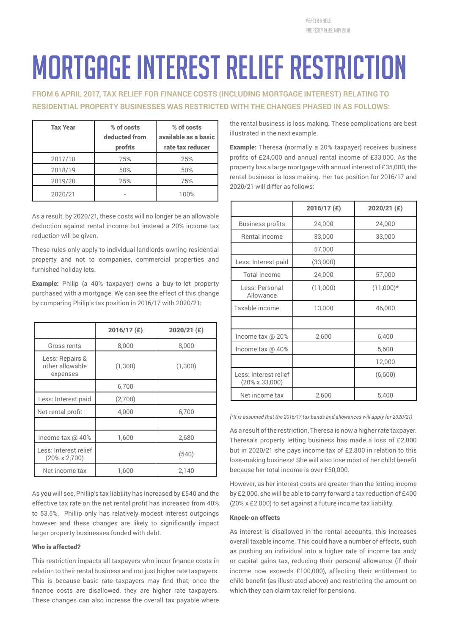mercer & hole property plus: MAY 2018

# Mortgage interest relief restriction

**FROM 6 APRIL 2017, TAX RELIEF FOR FINANCE COSTS (INCLUDING MORTGAGE INTEREST) RELATING TO RESIDENTIAL PROPERTY BUSINESSES WAS RESTRICTED WITH THE CHANGES PHASED IN AS FOLLOWS:**

| <b>Tax Year</b> | % of costs<br>deducted from<br>profits | % of costs<br>available as a basic<br>rate tax reducer |
|-----------------|----------------------------------------|--------------------------------------------------------|
| 2017/18         | 75%                                    | 25%                                                    |
| 2018/19         | 50%                                    | 50%                                                    |
| 2019/20         | 25%                                    | 75%                                                    |
| 2020/21         |                                        | 100%                                                   |

As a result, by 2020/21, these costs will no longer be an allowable deduction against rental income but instead a 20% income tax reduction will be given.

These rules only apply to individual landlords owning residential property and not to companies, commercial properties and furnished holiday lets.

Example: Philip (a 40% taxpayer) owns a buy-to-let property purchased with a mortgage. We can see the effect of this change by comparing Philip's tax position in 2016/17 with 2020/21:

|                                                | 2016/17 (£) | 2020/21 (£) |
|------------------------------------------------|-------------|-------------|
| Gross rents                                    | 8,000       | 8,000       |
| Less: Repairs &<br>other allowable<br>expenses | (1,300)     | (1,300)     |
|                                                | 6,700       |             |
| Less: Interest paid                            | (2,700)     |             |
| Net rental profit                              | 4,000       | 6,700       |
|                                                |             |             |
| Income tax @ 40%                               | 1,600       | 2,680       |
| Less: Interest relief<br>$(20\% \times 2,700)$ |             | (540)       |
| Net income tax                                 | 1,600       | 2,140       |

As you will see, Phillip's tax liability has increased by £540 and the effective tax rate on the net rental profit has increased from 40% to 53.5%. Phillip only has relatively modest interest outgoings however and these changes are likely to significantly impact larger property businesses funded with debt.

# Who is affected?

This restriction impacts all taxpayers who incur finance costs in relation to their rental business and not just higher rate taxpayers. This is because basic rate taxpayers may find that, once the finance costs are disallowed, they are higher rate taxpayers. These changes can also increase the overall tax payable where the rental business is loss making. These complications are best illustrated in the next example.

Example: Theresa (normally a 20% taxpayer) receives business profits of £24,000 and annual rental income of £33,000. As the property has a large mortgage with annual interest of £35,000, the rental business is loss making. Her tax position for 2016/17 and 2020/21 will differ as follows:

|                                                 | $2016/17$ (£) | 2020/21 (£) |
|-------------------------------------------------|---------------|-------------|
| <b>Business profits</b>                         | 24,000        | 24,000      |
| Rental income                                   | 33,000        | 33,000      |
|                                                 | 57,000        |             |
| Less: Interest paid                             | (33,000)      |             |
| Total income                                    | 24,000        | 57,000      |
| Less: Personal<br>Allowance                     | (11,000)      | $(11,000)*$ |
| Taxable income                                  | 13,000        | 46,000      |
|                                                 |               |             |
| Income tax @ 20%                                | 2,600         | 6,400       |
| Income tax @ 40%                                |               | 5,600       |
|                                                 |               | 12,000      |
| Less: Interest relief<br>$(20\% \times 33,000)$ |               | (6,600)     |
| Net income tax                                  | 2,600         | 5,400       |

*(\*It is assumed that the 2016/17 tax bands and allowances will apply for 2020/21)*

As a result of the restriction, Theresa is now a higher rate taxpayer. Theresa's property letting business has made a loss of £2,000 but in 2020/21 she pays income tax of £2,800 in relation to this loss-making business! She will also lose most of her child benefit because her total income is over £50,000.

However, as her interest costs are greater than the letting income by £2,000, she will be able to carry forward a tax reduction of £400 (20% x £2,000) to set against a future income tax liability.

## Knock-on effects

As interest is disallowed in the rental accounts, this increases overall taxable income. This could have a number of effects, such as pushing an individual into a higher rate of income tax and/ or capital gains tax, reducing their personal allowance (if their income now exceeds £100,000), affecting their entitlement to child benefit (as illustrated above) and restricting the amount on which they can claim tax relief for pensions.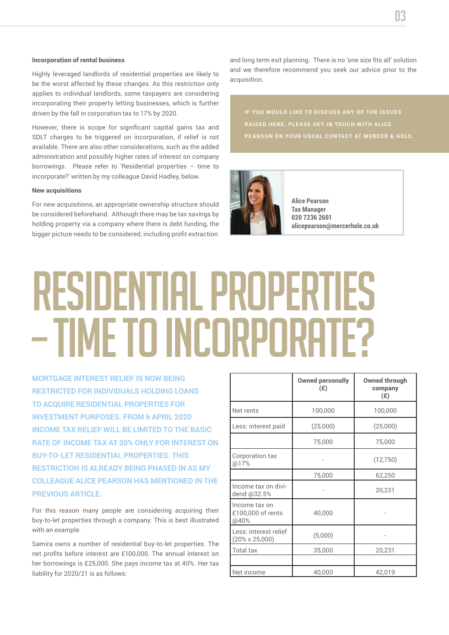#### Incorporation of rental business

Highly leveraged landlords of residential properties are likely to be the worst affected by these changes. As this restriction only applies to individual landlords, some taxpayers are considering incorporating their property letting businesses, which is further driven by the fall in corporation tax to 17% by 2020.

However, there is scope for significant capital gains tax and SDLT charges to be triggered on incorporation, if relief is not available. There are also other considerations, such as the added administration and possibly higher rates of interest on company borrowings. Please refer to 'Residential properties – time to incorporate?' written by my colleague David Hadley, below.

### New acquisitions

For new acquisitions, an appropriate ownership structure should be considered beforehand. Although there may be tax savings by holding property via a company where there is debt funding, the bigger picture needs to be considered, including profit extraction and long term exit planning. There is no 'one size fits all' solution and we therefore recommend you seek our advice prior to the acquisition.



**Alice Pearson Tax Manager 020 7236 2601 alicepearson@mercerhole.co.uk**

# Residential properties – time to incorporate?

**MORTGAGE INTEREST RELIEF IS NOW BEING RESTRICTED FOR INDIVIDUALS HOLDING LOANS TO ACQUIRE RESIDENTIAL PROPERTIES FOR INVESTMENT PURPOSES. FROM 6 APRIL 2020 INCOME TAX RELIEF WILL BE LIMITED TO THE BASIC RATE OF INCOME TAX AT 20% ONLY FOR INTEREST ON BUY-TO-LET RESIDENTIAL PROPERTIES. THIS RESTRICTION IS ALREADY BEING PHASED IN AS MY COLLEAGUE ALICE PEARSON HAS MENTIONED IN THE PREVIOUS ARTICLE** 

For this reason many people are considering acquiring their buy-to-let properties through a company. This is best illustrated with an example:

Samira owns a number of residential buy-to-let properties. The net profits before interest are £100,000. The annual interest on her borrowings is £25,000. She pays income tax at 40%. Her tax liability for 2020/21 is as follows:

|                                                 | <b>Owned personally</b><br>(E) | <b>Owned through</b><br>company<br>(E) |
|-------------------------------------------------|--------------------------------|----------------------------------------|
| Net rents                                       | 100,000                        | 100,000                                |
| Less: interest paid                             | (25,000)                       | (25,000)                               |
|                                                 | 75,000                         | 75,000                                 |
| Corporation tax<br>@17%                         |                                | (12, 750)                              |
|                                                 | 75,000                         | 62,250                                 |
| Income tax on divi-<br>dend @32.5%              |                                | 20,231                                 |
| Income tax on<br>£100,000 of rents<br>@40%      | 40,000                         |                                        |
| Less: interest relief<br>$(20\% \times 25,000)$ | (5,000)                        |                                        |
| <b>Total tax</b>                                | 35,000                         | 20,231                                 |
|                                                 |                                |                                        |
| Net income                                      | 40,000                         | 42,019                                 |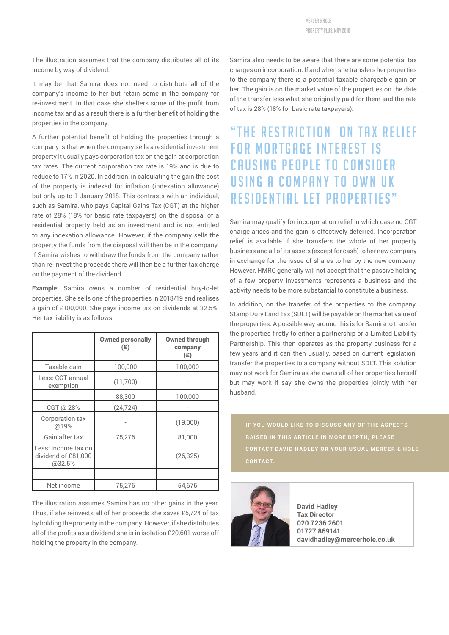mercer & hole property plus: MAY 2018

The illustration assumes that the company distributes all of its income by way of dividend.

It may be that Samira does not need to distribute all of the company's income to her but retain some in the company for re-investment. In that case she shelters some of the profit from income tax and as a result there is a further benefit of holding the properties in the company.

A further potential benefit of holding the properties through a company is that when the company sells a residential investment property it usually pays corporation tax on the gain at corporation tax rates. The current corporation tax rate is 19% and is due to reduce to 17% in 2020. In addition, in calculating the gain the cost of the property is indexed for inflation (indexation allowance) but only up to 1 January 2018. This contrasts with an individual, such as Samira, who pays Capital Gains Tax (CGT) at the higher rate of 28% (18% for basic rate taxpayers) on the disposal of a residential property held as an investment and is not entitled to any indexation allowance. However, if the company sells the property the funds from the disposal will then be in the company. If Samira wishes to withdraw the funds from the company rather than re-invest the proceeds there will then be a further tax charge on the payment of the dividend.

**Example:** Samira owns a number of residential buy-to-let properties. She sells one of the properties in 2018/19 and realises a gain of £100,000. She pays income tax on dividends at 32.5%. Her tax liability is as follows:

|                                                      | <b>Owned personally</b><br>(E) | <b>Owned through</b><br>company<br>(E) |
|------------------------------------------------------|--------------------------------|----------------------------------------|
| Taxable gain                                         | 100,000                        | 100,000                                |
| Less: CGT annual<br>exemption                        | (11,700)                       |                                        |
|                                                      | 88,300                         | 100,000                                |
| CGT @ 28%                                            | (24, 724)                      |                                        |
| Corporation tax<br>@19%                              |                                | (19,000)                               |
| Gain after tax                                       | 75,276                         | 81,000                                 |
| Less: Income tax on<br>dividend of £81,000<br>@32.5% |                                | (26, 325)                              |
|                                                      |                                |                                        |
| Net income                                           | 75,276                         | 54,675                                 |

The illustration assumes Samira has no other gains in the year. Thus, if she reinvests all of her proceeds she saves £5,724 of tax by holding the property in the company. However, if she distributes all of the profits as a dividend she is in isolation £20,601 worse off holding the property in the company.

Samira also needs to be aware that there are some potential tax charges on incorporation. If and when she transfers her properties to the company there is a potential taxable chargeable gain on her. The gain is on the market value of the properties on the date of the transfer less what she originally paid for them and the rate of tax is 28% (18% for basic rate taxpayers).

# "THE RESTRICTION ON TAX RELIEF **FOR MORTGAGE INTEREST IS** CAUSING PEOPLE TO CONSIDER USING A COMPANY TO OWN UK RESIDENTIAL LET PROPERTIES"

Samira may qualify for incorporation relief in which case no CGT charge arises and the gain is effectively deferred. Incorporation relief is available if she transfers the whole of her property business and all of its assets (except for cash) to her new company in exchange for the issue of shares to her by the new company. However, HMRC generally will not accept that the passive holding of a few property investments represents a business and the activity needs to be more substantial to constitute a business.

In addition, on the transfer of the properties to the company, Stamp Duty Land Tax (SDLT) will be payable on the market value of the properties. A possible way around this is for Samira to transfer the properties firstly to either a partnership or a Limited Liability Partnership. This then operates as the property business for a few years and it can then usually, based on current legislation, transfer the properties to a company without SDLT. This solution may not work for Samira as she owns all of her properties herself but may work if say she owns the properties jointly with her husband.

**CONTACT.**



**David Hadley Tax Director 020 7236 2601 01727 869141 davidhadley@mercerhole.co.uk**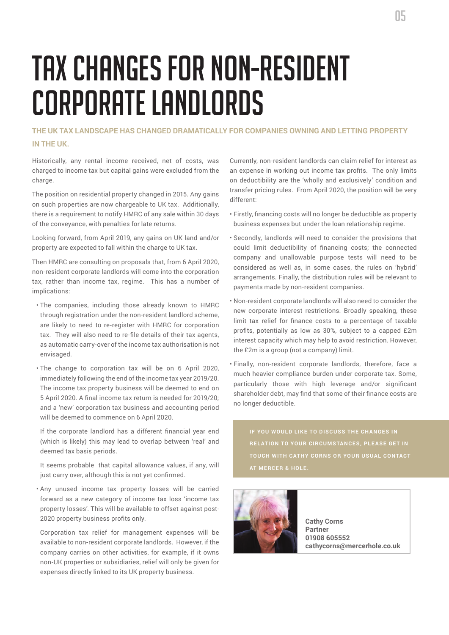# Tax changes for non-resident corporate landlords

# **THE UK TAX LANDSCAPE HAS CHANGED DRAMATICALLY FOR COMPANIES OWNING AND LETTING PROPERTY IN THE UK.**

Historically, any rental income received, net of costs, was charged to income tax but capital gains were excluded from the charge.

The position on residential property changed in 2015. Any gains on such properties are now chargeable to UK tax. Additionally, there is a requirement to notify HMRC of any sale within 30 days of the conveyance, with penalties for late returns.

Looking forward, from April 2019, any gains on UK land and/or property are expected to fall within the charge to UK tax.

Then HMRC are consulting on proposals that, from 6 April 2020, non-resident corporate landlords will come into the corporation tax, rather than income tax, regime. This has a number of implications:

- The companies, including those already known to HMRC through registration under the non-resident landlord scheme, are likely to need to re-register with HMRC for corporation tax. They will also need to re-file details of their tax agents, as automatic carry-over of the income tax authorisation is not envisaged.
- The change to corporation tax will be on 6 April 2020, immediately following the end of the income tax year 2019/20. The income tax property business will be deemed to end on 5 April 2020. A final income tax return is needed for 2019/20; and a 'new' corporation tax business and accounting period will be deemed to commence on 6 April 2020.

 If the corporate landlord has a different financial year end (which is likely) this may lead to overlap between 'real' and deemed tax basis periods.

 It seems probable that capital allowance values, if any, will just carry over, although this is not yet confirmed.

• Any unused income tax property losses will be carried forward as a new category of income tax loss 'income tax property losses'. This will be available to offset against post-2020 property business profits only.

 Corporation tax relief for management expenses will be available to non-resident corporate landlords. However, if the company carries on other activities, for example, if it owns non-UK properties or subsidiaries, relief will only be given for expenses directly linked to its UK property business.

Currently, non-resident landlords can claim relief for interest as an expense in working out income tax profits. The only limits on deductibility are the 'wholly and exclusively' condition and transfer pricing rules. From April 2020, the position will be very different:

- Firstly, financing costs will no longer be deductible as property business expenses but under the loan relationship regime.
- Secondly, landlords will need to consider the provisions that could limit deductibility of financing costs; the connected company and unallowable purpose tests will need to be considered as well as, in some cases, the rules on 'hybrid' arrangements. Finally, the distribution rules will be relevant to payments made by non-resident companies.
- Non-resident corporate landlords will also need to consider the new corporate interest restrictions. Broadly speaking, these limit tax relief for finance costs to a percentage of taxable profits, potentially as low as 30%, subject to a capped £2m interest capacity which may help to avoid restriction. However, the £2m is a group (not a company) limit.
- Finally, non-resident corporate landlords, therefore, face a much heavier compliance burden under corporate tax. Some, particularly those with high leverage and/or significant shareholder debt, may find that some of their finance costs are no longer deductible.

**RELATION TO YOUR CIRCUMSTANCES, PLEASE GET IN AT MERCER & HOLE.**



**Cathy Corns Partner 01908 605552 cathycorns@mercerhole.co.uk**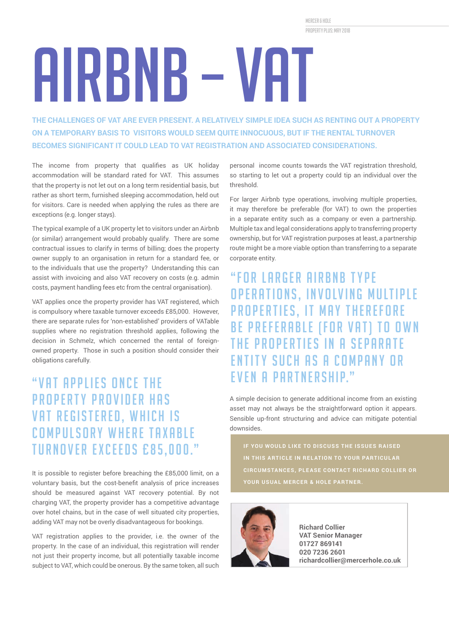mercer & hole property plus: MAY 2018

# Airbnb – VAT

**THE CHALLENGES OF VAT ARE EVER PRESENT. A RELATIVELY SIMPLE IDEA SUCH AS RENTING OUT A PROPERTY ON A TEMPORARY BASIS TO VISITORS WOULD SEEM QUITE INNOCUOUS, BUT IF THE RENTAL TURNOVER BECOMES SIGNIFICANT IT COULD LEAD TO VAT REGISTRATION AND ASSOCIATED CONSIDERATIONS.**

The income from property that qualifies as UK holiday accommodation will be standard rated for VAT. This assumes that the property is not let out on a long term residential basis, but rather as short term, furnished sleeping accommodation, held out for visitors. Care is needed when applying the rules as there are exceptions (e.g. longer stays).

The typical example of a UK property let to visitors under an Airbnb (or similar) arrangement would probably qualify. There are some contractual issues to clarify in terms of billing; does the property owner supply to an organisation in return for a standard fee, or to the individuals that use the property? Understanding this can assist with invoicing and also VAT recovery on costs (e.g. admin costs, payment handling fees etc from the central organisation).

VAT applies once the property provider has VAT registered, which is compulsory where taxable turnover exceeds £85,000. However, there are separate rules for 'non-established' providers of VATable supplies where no registration threshold applies, following the decision in Schmelz, which concerned the rental of foreignowned property. Those in such a position should consider their obligations carefully.

# "VAT APPLIES ONCE THE **PROPERTY PROVIDER HAS** VAT REGISTERED, WHICH IS **COMPULSORY WHERE TAXABLE** TURNOVER EXCEEDS £85,000."

It is possible to register before breaching the £85,000 limit, on a voluntary basis, but the cost-benefit analysis of price increases should be measured against VAT recovery potential. By not charging VAT, the property provider has a competitive advantage over hotel chains, but in the case of well situated city properties, adding VAT may not be overly disadvantageous for bookings.

VAT registration applies to the provider, i.e. the owner of the property. In the case of an individual, this registration will render not just their property income, but all potentially taxable income subject to VAT, which could be onerous. By the same token, all such

personal income counts towards the VAT registration threshold, so starting to let out a property could tip an individual over the threshold.

For larger Airbnb type operations, involving multiple properties, it may therefore be preferable (for VAT) to own the properties in a separate entity such as a company or even a partnership. Multiple tax and legal considerations apply to transferring property ownership, but for VAT registration purposes at least, a partnership route might be a more viable option than transferring to a separate corporate entity.

# "FOR LARGER AIRRNR TYPE OPERATIONS, INVOLVING MULTIPLE PROPERTIES, IT MAY THEREFORE BE PREFERABLE (FOR VAT) TO OWN THE PROPERTIES IN A SEPARATE ENTITY SUCH AS A COMPANY OR **FVFN A PARTNERSHIP."**

A simple decision to generate additional income from an existing asset may not always be the straightforward option it appears. Sensible up-front structuring and advice can mitigate potential downsides.



**Richard Collier VAT Senior Manager 01727 869141 020 7236 2601 richardcollier@mercerhole.co.uk**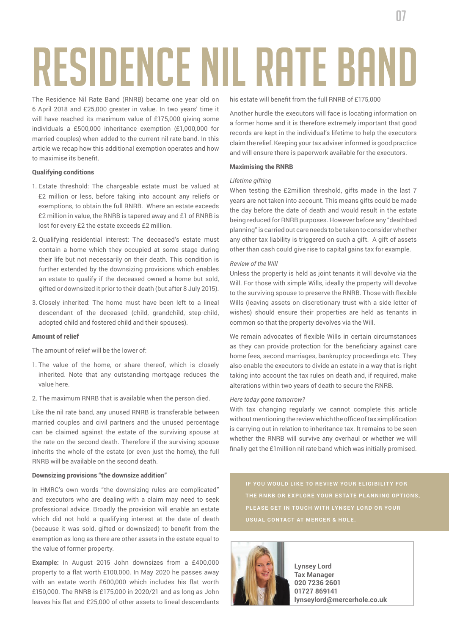# Residence nil rate band

The Residence Nil Rate Band (RNRB) became one year old on 6 April 2018 and £25,000 greater in value. In two years' time it will have reached its maximum value of £175,000 giving some individuals a £500,000 inheritance exemption (£1,000,000 for married couples) when added to the current nil rate band. In this article we recap how this additional exemption operates and how to maximise its benefit.

## Qualifying conditions

- 1. Estate threshold: The chargeable estate must be valued at £2 million or less, before taking into account any reliefs or exemptions, to obtain the full RNRB. Where an estate exceeds £2 million in value, the RNRB is tapered away and £1 of RNRB is lost for every £2 the estate exceeds £2 million.
- 2. Qualifying residential interest: The deceased's estate must contain a home which they occupied at some stage during their life but not necessarily on their death. This condition is further extended by the downsizing provisions which enables an estate to qualify if the deceased owned a home but sold, gifted or downsized it prior to their death (but after 8 July 2015).
- 3. Closely inherited: The home must have been left to a lineal descendant of the deceased (child, grandchild, step-child, adopted child and fostered child and their spouses).

#### Amount of relief

The amount of relief will be the lower of:

- 1. The value of the home, or share thereof, which is closely inherited. Note that any outstanding mortgage reduces the value here.
- 2. The maximum RNRB that is available when the person died.

Like the nil rate band, any unused RNRB is transferable between married couples and civil partners and the unused percentage can be claimed against the estate of the surviving spouse at the rate on the second death. Therefore if the surviving spouse inherits the whole of the estate (or even just the home), the full RNRB will be available on the second death.

### Downsizing provisions "the downsize addition"

In HMRC's own words "the downsizing rules are complicated" and executors who are dealing with a claim may need to seek professional advice. Broadly the provision will enable an estate which did not hold a qualifying interest at the date of death (because it was sold, gifted or downsized) to benefit from the exemption as long as there are other assets in the estate equal to the value of former property.

**Example:** In August 2015 John downsizes from a £400,000 property to a flat worth £100,000. In May 2020 he passes away with an estate worth £600,000 which includes his flat worth £150,000. The RNRB is £175,000 in 2020/21 and as long as John leaves his flat and £25,000 of other assets to lineal descendants his estate will benefit from the full RNRB of £175,000

Another hurdle the executors will face is locating information on a former home and it is therefore extremely important that good records are kept in the individual's lifetime to help the executors claim the relief. Keeping your tax adviser informed is good practice and will ensure there is paperwork available for the executors.

# Maximising the RNRB

#### *Lifetime gifting*

When testing the £2million threshold, gifts made in the last 7 years are not taken into account. This means gifts could be made the day before the date of death and would result in the estate being reduced for RNRB purposes. However before any "deathbed planning" is carried out care needs to be taken to consider whether any other tax liability is triggered on such a gift. A gift of assets other than cash could give rise to capital gains tax for example.

### *Review of the Will*

Unless the property is held as joint tenants it will devolve via the Will. For those with simple Wills, ideally the property will devolve to the surviving spouse to preserve the RNRB. Those with flexible Wills (leaving assets on discretionary trust with a side letter of wishes) should ensure their properties are held as tenants in common so that the property devolves via the Will.

We remain advocates of flexible Wills in certain circumstances as they can provide protection for the beneficiary against care home fees, second marriages, bankruptcy proceedings etc. They also enable the executors to divide an estate in a way that is right taking into account the tax rules on death and, if required, make alterations within two years of death to secure the RNRB.

#### *Here today gone tomorrow?*

With tax changing regularly we cannot complete this article without mentioning the review which the office of tax simplification is carrying out in relation to inheritance tax. It remains to be seen whether the RNRB will survive any overhaul or whether we will finally get the £1million nil rate band which was initially promised.



**Lynsey Lord Tax Manager 020 7236 2601 01727 869141 lynseylord@mercerhole.co.uk**